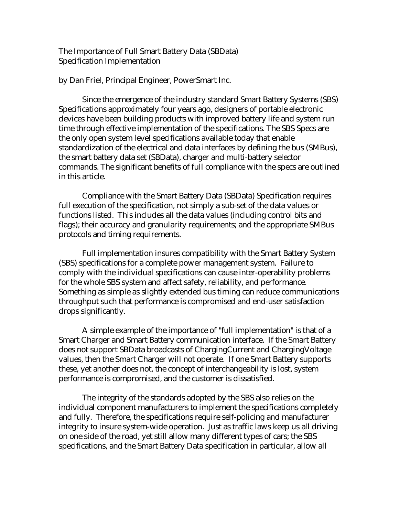The Importance of Full Smart Battery Data (SBData) Specification Implementation

by Dan Friel, Principal Engineer, PowerSmart Inc.

Since the emergence of the industry standard Smart Battery Systems (SBS) Specifications approximately four years ago, designers of portable electronic devices have been building products with improved battery life and system run time through effective implementation of the specifications. The SBS Specs are the only open system level specifications available today that enable standardization of the electrical and data interfaces by defining the bus (SMBus), the smart battery data set (SBData), charger and multi-battery selector commands. The significant benefits of full compliance with the specs are outlined in this article.

Compliance with the Smart Battery Data (SBData) Specification requires full execution of the specification, not simply a sub-set of the data values or functions listed. This includes all the data values (including control bits and flags); their accuracy and granularity requirements; and the appropriate SMBus protocols and timing requirements.

Full implementation insures compatibility with the Smart Battery System (SBS) specifications for a complete power management system. Failure to comply with the individual specifications can cause inter-operability problems for the whole SBS system and affect safety, reliability, and performance. Something as simple as slightly extended bus timing can reduce communications throughput such that performance is compromised and end-user satisfaction drops significantly.

A simple example of the importance of "full implementation" is that of a Smart Charger and Smart Battery communication interface. If the Smart Battery does not support SBData broadcasts of ChargingCurrent and ChargingVoltage values, then the Smart Charger will not operate. If one Smart Battery supports these, yet another does not, the concept of interchangeability is lost, system performance is compromised, and the customer is dissatisfied.

The integrity of the standards adopted by the SBS also relies on the individual component manufacturers to implement the specifications completely and fully. Therefore, the specifications require self-policing and manufacturer integrity to insure system-wide operation. Just as traffic laws keep us all driving on one side of the road, yet still allow many different types of cars; the SBS specifications, and the Smart Battery Data specification in particular, allow all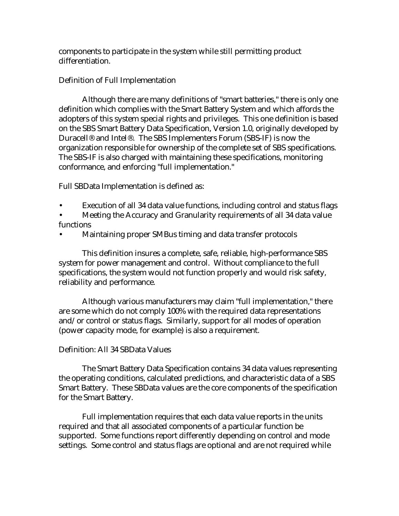components to participate in the system while still permitting product differentiation.

# Definition of Full Implementation

Although there are many definitions of "smart batteries," there is only one definition which complies with the Smart Battery System and which affords the adopters of this system special rights and privileges. This one definition is based on the SBS Smart Battery Data Specification, Version 1.0, originally developed by Duracell® and Intel®. The SBS Implementers Forum (SBS-IF) is now the organization responsible for ownership of the complete set of SBS specifications. The SBS-IF is also charged with maintaining these specifications, monitoring conformance, and enforcing "full implementation."

Full SBData Implementation is defined as:

- Execution of all 34 data value functions, including control and status flags
- Meeting the Accuracy and Granularity requirements of all 34 data value functions
- Maintaining proper SMBus timing and data transfer protocols

This definition insures a complete, safe, reliable, high-performance SBS system for power management and control. Without compliance to the full specifications, the system would not function properly and would risk safety, reliability and performance.

Although various manufacturers may claim "full implementation," there are some which do not comply 100% with the required data representations and/or control or status flags. Similarly, support for all modes of operation (power capacity mode, for example) is also a requirement.

# Definition: All 34 SBData Values

The Smart Battery Data Specification contains 34 data values representing the operating conditions, calculated predictions, and characteristic data of a SBS Smart Battery. These SBData values are the core components of the specification for the Smart Battery.

Full implementation requires that each data value reports in the units required and that all associated components of a particular function be supported. Some functions report differently depending on control and mode settings. Some control and status flags are optional and are not required while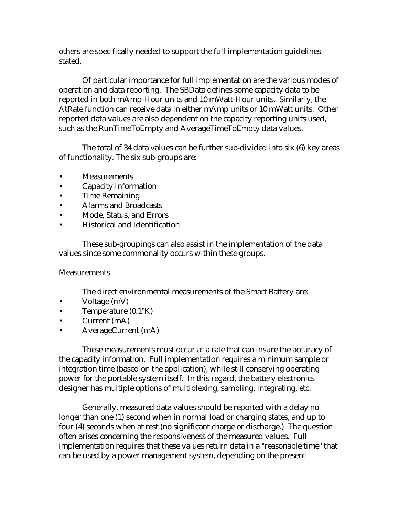others are specifically needed to support the full implementation guidelines stated.

Of particular importance for full implementation are the various modes of operation and data reporting. The SBData defines some capacity data to be reported in both mAmp-Hour units and 10 mWatt-Hour units. Similarly, the AtRate function can receive data in either mAmp units or 10 mWatt units. Other reported data values are also dependent on the capacity reporting units used, such as the RunTimeToEmpty and AverageTimeToEmpty data values.

The total of 34 data values can be further sub-divided into six (6) key areas of functionality. The six sub-groups are:

- Measurements
- Capacity Information
- Time Remaining
- Alarms and Broadcasts
- Mode, Status, and Errors
- Historical and Identification

These sub-groupings can also assist in the implementation of the data values since some commonality occurs within these groups.

#### **Measurements**

The direct environmental measurements of the Smart Battery are:

- Voltage (mV)
- Temperature (0.1°K)
- Current (mA)
- AverageCurrent (mA)

These measurements must occur at a rate that can insure the accuracy of the capacity information. Full implementation requires a minimum sample or integration time (based on the application), while still conserving operating power for the portable system itself. In this regard, the battery electronics designer has multiple options of multiplexing, sampling, integrating, etc.

Generally, measured data values should be reported with a delay no longer than one (1) second when in normal load or charging states, and up to four (4) seconds when at rest (no significant charge or discharge.) The question often arises concerning the responsiveness of the measured values. Full implementation requires that these values return data in a "reasonable time" that can be used by a power management system, depending on the present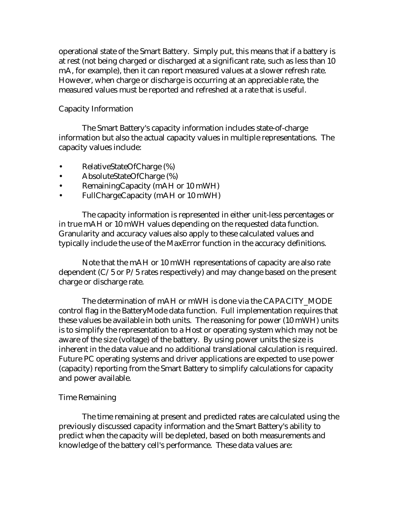operational state of the Smart Battery. Simply put, this means that if a battery is at rest (not being charged or discharged at a significant rate, such as less than 10 mA, for example), then it can report measured values at a slower refresh rate. However, when charge or discharge is occurring at an appreciable rate, the measured values must be reported and refreshed at a rate that is useful.

# Capacity Information

The Smart Battery's capacity information includes state-of-charge information but also the actual capacity values in multiple representations. The capacity values include:

- RelativeStateOfCharge (%)
- AbsoluteStateOfCharge (%)
- RemainingCapacity (mAH or 10 mWH)
- FullChargeCapacity (mAH or 10 mWH)

The capacity information is represented in either unit-less percentages or in true mAH or 10 mWH values depending on the requested data function. Granularity and accuracy values also apply to these calculated values and typically include the use of the MaxError function in the accuracy definitions.

Note that the mAH or 10 mWH representations of capacity are also rate dependent (C/5 or P/5 rates respectively) and may change based on the present charge or discharge rate.

The determination of mAH or mWH is done via the CAPACITY\_MODE control flag in the BatteryMode data function. Full implementation requires that these values be available in both units. The reasoning for power (10 mWH) units is to simplify the representation to a Host or operating system which may not be aware of the size (voltage) of the battery. By using power units the size is inherent in the data value and no additional translational calculation is required. Future PC operating systems and driver applications are expected to use power (capacity) reporting from the Smart Battery to simplify calculations for capacity and power available.

### Time Remaining

The time remaining at present and predicted rates are calculated using the previously discussed capacity information and the Smart Battery's ability to predict when the capacity will be depleted, based on both measurements and knowledge of the battery cell's performance. These data values are: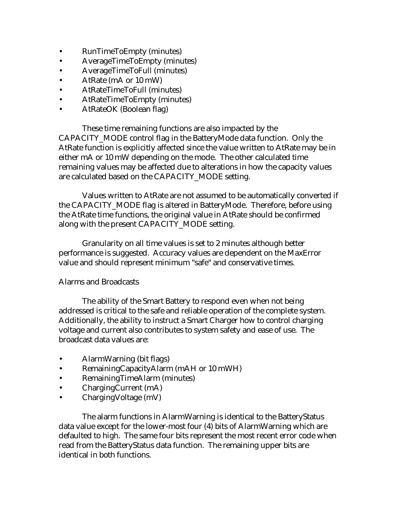- RunTimeToEmpty (minutes)
- AverageTimeToEmpty (minutes)
- AverageTimeToFull (minutes)
- AtRate (mA or 10 mW)
- AtRateTimeToFull (minutes)
- AtRateTimeToEmpty (minutes)
- AtRateOK (Boolean flag)

These time remaining functions are also impacted by the CAPACITY\_MODE control flag in the BatteryMode data function. Only the AtRate function is explicitly affected since the value written to AtRate may be in either mA or 10 mW depending on the mode. The other calculated time remaining values may be affected due to alterations in how the capacity values are calculated based on the CAPACITY\_MODE setting.

Values written to AtRate are not assumed to be automatically converted if the CAPACITY\_MODE flag is altered in BatteryMode. Therefore, before using the AtRate time functions, the original value in AtRate should be confirmed along with the present CAPACITY\_MODE setting.

Granularity on all time values is set to 2 minutes although better performance is suggested. Accuracy values are dependent on the MaxError value and should represent minimum "safe" and conservative times.

### Alarms and Broadcasts

The ability of the Smart Battery to respond even when not being addressed is critical to the safe and reliable operation of the complete system. Additionally, the ability to instruct a Smart Charger how to control charging voltage and current also contributes to system safety and ease of use. The broadcast data values are:

- AlarmWarning (bit flags)
- RemainingCapacityAlarm (mAH or 10 mWH)
- RemainingTimeAlarm (minutes)
- ChargingCurrent (mA)
- ChargingVoltage (mV)

The alarm functions in AlarmWarning is identical to the BatteryStatus data value except for the lower-most four (4) bits of AlarmWarning which are defaulted to high. The same four bits represent the most recent error code when read from the BatteryStatus data function. The remaining upper bits are identical in both functions.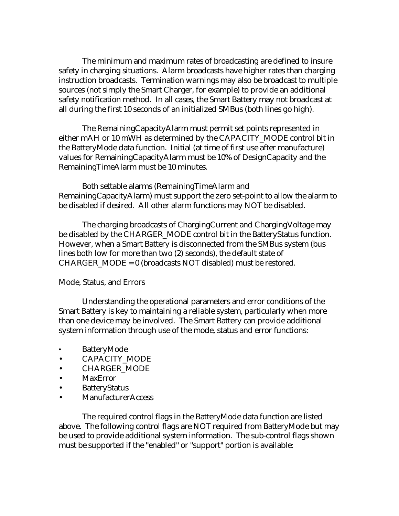The minimum and maximum rates of broadcasting are defined to insure safety in charging situations. Alarm broadcasts have higher rates than charging instruction broadcasts. Termination warnings may also be broadcast to multiple sources (not simply the Smart Charger, for example) to provide an additional safety notification method. In all cases, the Smart Battery may not broadcast at all during the first 10 seconds of an initialized SMBus (both lines go high).

The RemainingCapacityAlarm must permit set points represented in either mAH or 10 mWH as determined by the CAPACITY\_MODE control bit in the BatteryMode data function. Initial (at time of first use after manufacture) values for RemainingCapacityAlarm must be 10% of DesignCapacity and the RemainingTimeAlarm must be 10 minutes.

Both settable alarms (RemainingTimeAlarm and RemainingCapacityAlarm) must support the zero set-point to allow the alarm to be disabled if desired. All other alarm functions may NOT be disabled.

The charging broadcasts of ChargingCurrent and ChargingVoltage may be disabled by the CHARGER\_MODE control bit in the BatteryStatus function. However, when a Smart Battery is disconnected from the SMBus system (bus lines both low for more than two (2) seconds), the default state of  $CHARGER$  MODE = 0 (broadcasts NOT disabled) must be restored.

#### Mode, Status, and Errors

Understanding the operational parameters and error conditions of the Smart Battery is key to maintaining a reliable system, particularly when more than one device may be involved. The Smart Battery can provide additional system information through use of the mode, status and error functions:

- BatteryMode
- CAPACITY MODE
- CHARGER\_MODE
- MaxError
- BatteryStatus
- ManufacturerAccess

The required control flags in the BatteryMode data function are listed above. The following control flags are NOT required from BatteryMode but may be used to provide additional system information. The sub-control flags shown must be supported if the "enabled" or "support" portion is available: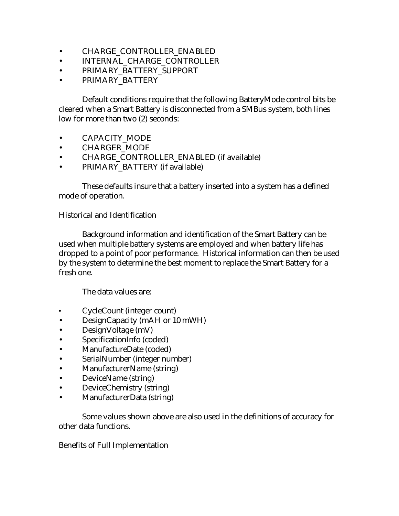- CHARGE\_CONTROLLER\_ENABLED
- INTERNAL CHARGE CONTROLLER
- PRIMARY\_BATTERY\_SUPPORT
- PRIMARY BATTERY

Default conditions require that the following BatteryMode control bits be cleared when a Smart Battery is disconnected from a SMBus system, both lines low for more than two (2) seconds:

- CAPACITY MODE
- CHARGER\_MODE
- CHARGE\_CONTROLLER\_ENABLED (if available)
- PRIMARY\_BATTERY (if available)

These defaults insure that a battery inserted into a system has a defined mode of operation.

### Historical and Identification

Background information and identification of the Smart Battery can be used when multiple battery systems are employed and when battery life has dropped to a point of poor performance. Historical information can then be used by the system to determine the best moment to replace the Smart Battery for a fresh one.

The data values are:

- CycleCount (integer count)
- DesignCapacity (mAH or 10 mWH)
- DesignVoltage (mV)
- SpecificationInfo (coded)
- ManufactureDate (coded)
- SerialNumber (integer number)
- ManufacturerName (string)
- DeviceName (string)
- DeviceChemistry (string)
- ManufacturerData (string)

Some values shown above are also used in the definitions of accuracy for other data functions.

### Benefits of Full Implementation